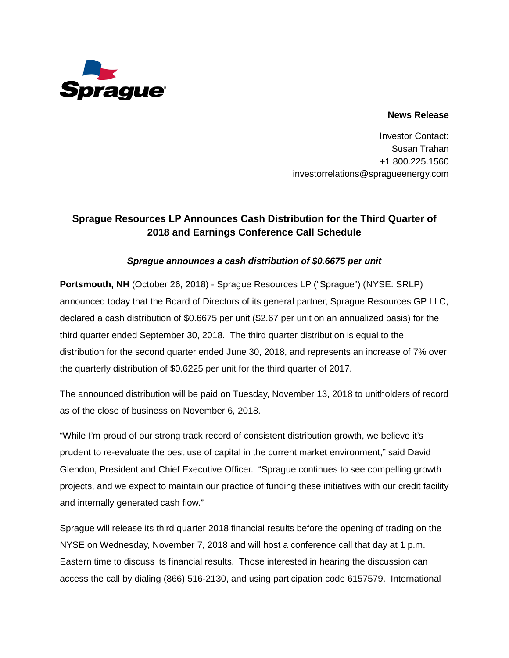

#### **News Release**

Investor Contact: Susan Trahan +1 800.225.1560 investorrelations@spragueenergy.com

# **Sprague Resources LP Announces Cash Distribution for the Third Quarter of 2018 and Earnings Conference Call Schedule**

### *Sprague announces a cash distribution of \$0.6675 per unit*

**Portsmouth, NH** (October 26, 2018) - Sprague Resources LP ("Sprague") (NYSE: SRLP) announced today that the Board of Directors of its general partner, Sprague Resources GP LLC, declared a cash distribution of \$0.6675 per unit (\$2.67 per unit on an annualized basis) for the third quarter ended September 30, 2018. The third quarter distribution is equal to the distribution for the second quarter ended June 30, 2018, and represents an increase of 7% over the quarterly distribution of \$0.6225 per unit for the third quarter of 2017.

The announced distribution will be paid on Tuesday, November 13, 2018 to unitholders of record as of the close of business on November 6, 2018.

"While I'm proud of our strong track record of consistent distribution growth, we believe it's prudent to re-evaluate the best use of capital in the current market environment," said David Glendon, President and Chief Executive Officer. "Sprague continues to see compelling growth projects, and we expect to maintain our practice of funding these initiatives with our credit facility and internally generated cash flow."

Sprague will release its third quarter 2018 financial results before the opening of trading on the NYSE on Wednesday, November 7, 2018 and will host a conference call that day at 1 p.m. Eastern time to discuss its financial results. Those interested in hearing the discussion can access the call by dialing (866) 516-2130, and using participation code 6157579. International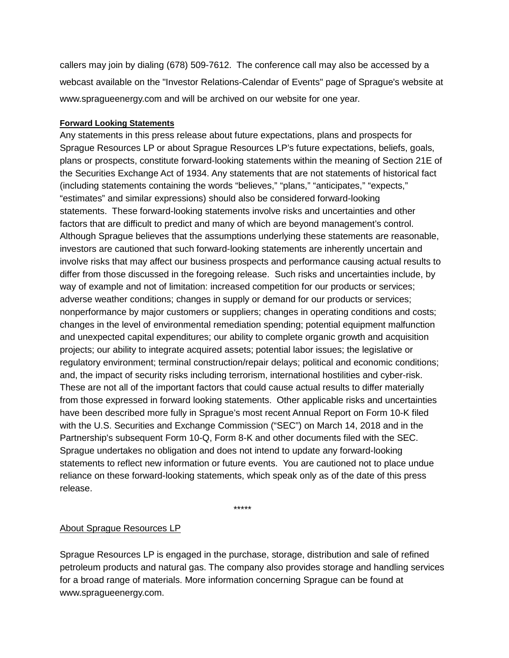callers may join by dialing (678) 509-7612. The conference call may also be accessed by a webcast available on the "Investor Relations-Calendar of Events" page of Sprague's website at www.spragueenergy.com and will be archived on our website for one year.

#### **Forward Looking Statements**

Any statements in this press release about future expectations, plans and prospects for Sprague Resources LP or about Sprague Resources LP's future expectations, beliefs, goals, plans or prospects, constitute forward-looking statements within the meaning of Section 21E of the Securities Exchange Act of 1934. Any statements that are not statements of historical fact (including statements containing the words "believes," "plans," "anticipates," "expects," "estimates" and similar expressions) should also be considered forward-looking statements. These forward-looking statements involve risks and uncertainties and other factors that are difficult to predict and many of which are beyond management's control. Although Sprague believes that the assumptions underlying these statements are reasonable, investors are cautioned that such forward-looking statements are inherently uncertain and involve risks that may affect our business prospects and performance causing actual results to differ from those discussed in the foregoing release. Such risks and uncertainties include, by way of example and not of limitation: increased competition for our products or services; adverse weather conditions; changes in supply or demand for our products or services; nonperformance by major customers or suppliers; changes in operating conditions and costs; changes in the level of environmental remediation spending; potential equipment malfunction and unexpected capital expenditures; our ability to complete organic growth and acquisition projects; our ability to integrate acquired assets; potential labor issues; the legislative or regulatory environment; terminal construction/repair delays; political and economic conditions; and, the impact of security risks including terrorism, international hostilities and cyber-risk. These are not all of the important factors that could cause actual results to differ materially from those expressed in forward looking statements. Other applicable risks and uncertainties have been described more fully in Sprague's most recent Annual Report on Form 10-K filed with the U.S. Securities and Exchange Commission ("SEC") on March 14, 2018 and in the Partnership's subsequent Form 10-Q, Form 8-K and other documents filed with the SEC. Sprague undertakes no obligation and does not intend to update any forward-looking statements to reflect new information or future events. You are cautioned not to place undue reliance on these forward-looking statements, which speak only as of the date of this press release.

\*\*\*\*\*

## About Sprague Resources LP

Sprague Resources LP is engaged in the purchase, storage, distribution and sale of refined petroleum products and natural gas. The company also provides storage and handling services for a broad range of materials. More information concerning Sprague can be found at www.spragueenergy.com.